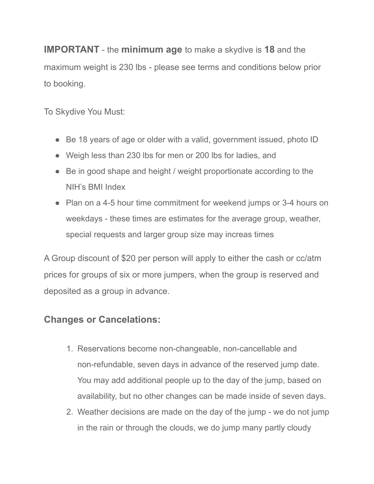**IMPORTANT** - the **minimum age** to make a skydive is **18** and the maximum weight is 230 lbs - please see terms and conditions below prior to booking.

To Skydive You Must:

- Be 18 years of age or older with a valid, government issued, photo ID
- Weigh less than 230 lbs for men or 200 lbs for ladies, and
- Be in good shape and height / weight proportionate according to the NIH's BMI Index
- Plan on a 4-5 hour time commitment for weekend jumps or 3-4 hours on weekdays - these times are estimates for the average group, weather, special requests and larger group size may increas times

A Group discount of \$20 per person will apply to either the cash or cc/atm prices for groups of six or more jumpers, when the group is reserved and deposited as a group in advance.

## **Changes or Cancelations:**

- 1. Reservations become non-changeable, non-cancellable and non-refundable, seven days in advance of the reserved jump date. You may add additional people up to the day of the jump, based on availability, but no other changes can be made inside of seven days.
- 2. Weather decisions are made on the day of the jump we do not jump in the rain or through the clouds, we do jump many partly cloudy